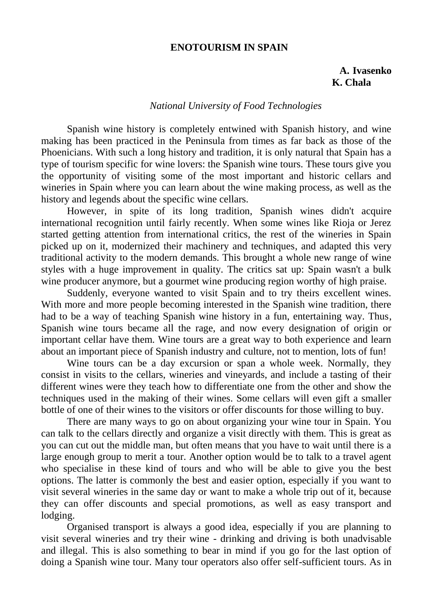## **ENOTOURISM IN SPAIN**

## **A. Ivasenko K. Chala**

## *National University of Food Technologies*

Spanish wine history is completely entwined with Spanish history, and wine making has been practiced in the Peninsula from times as far back as those of the Phoenicians. With such a long history and tradition, it is only natural that Spain has a type of tourism specific for wine lovers: the Spanish wine tours. These tours give you the opportunity of visiting some of the most important and historic cellars and wineries in Spain where you can learn about the wine making process, as well as the history and legends about the specific wine cellars.

However, in spite of its long tradition, Spanish wines didn't acquire international recognition until fairly recently. When some wines like Rioja or Jerez started getting attention from international critics, the rest of the wineries in Spain picked up on it, modernized their machinery and techniques, and adapted this very traditional activity to the modern demands. This brought a whole new range of wine styles with a huge improvement in quality. The critics sat up: Spain wasn't a bulk wine producer anymore, but a gourmet wine producing region worthy of high praise.

Suddenly, everyone wanted to visit Spain and to try theirs excellent wines. With more and more people becoming interested in the Spanish wine tradition, there had to be a way of teaching Spanish wine history in a fun, entertaining way. Thus, Spanish wine tours became all the rage, and now every designation of origin or important cellar have them. Wine tours are a great way to both experience and learn about an important piece of Spanish industry and culture, not to mention, lots of fun!

Wine tours can be a day excursion or span a whole week. Normally, they consist in visits to the cellars, wineries and vineyards, and include a tasting of their different wines were they teach how to differentiate one from the other and show the techniques used in the making of their wines. Some cellars will even gift a smaller bottle of one of their wines to the visitors or offer discounts for those willing to buy.

There are many ways to go on about organizing your wine tour in Spain. You can talk to the cellars directly and organize a visit directly with them. This is great as you can cut out the middle man, but often means that you have to wait until there is a large enough group to merit a tour. Another option would be to talk to a travel agent who specialise in these kind of tours and who will be able to give you the best options. The latter is commonly the best and easier option, especially if you want to visit several wineries in the same day or want to make a whole trip out of it, because they can offer discounts and special promotions, as well as easy transport and lodging.

Organised transport is always a good idea, especially if you are planning to visit several wineries and try their wine - drinking and driving is both unadvisable and illegal. This is also something to bear in mind if you go for the last option of doing a Spanish wine tour. Many tour operators also offer self-sufficient tours. As in